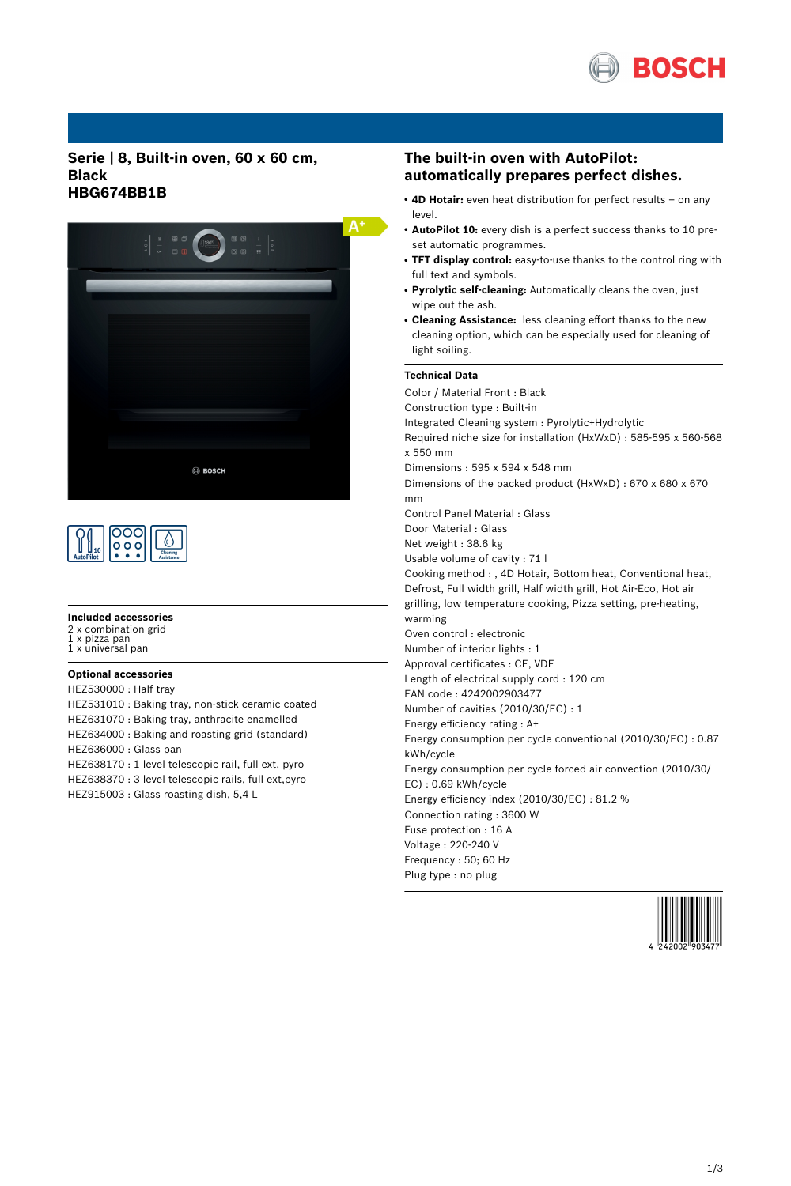

### **Serie | 8, Built-in oven, 60 x 60 cm, Black HBG674BB1B**





#### **Included accessories**

2 x combination grid<br>1 x pizza pan

1 x pizza pan 1 x universal pan

### **Optional accessories**

HEZ530000 : Half tray HEZ531010 : Baking tray, non-stick ceramic coated HEZ631070 : Baking tray, anthracite enamelled HEZ634000 : Baking and roasting grid (standard) HEZ636000 : Glass pan HEZ638170 : 1 level telescopic rail, full ext, pyro HEZ638370 : 3 level telescopic rails, full ext,pyro HEZ915003 : Glass roasting dish, 5,4 L

## **The built-in oven with AutoPilot: automatically prepares perfect dishes.**

- 4D Hotair: even heat distribution for perfect results on any level.
- **AutoPilot 10:** every dish is a perfect success thanks to 10 preset automatic programmes.
- **TFT display control:** easy-to-use thanks to the control ring with full text and symbols.
- **Pyrolytic self-cleaning:** Automatically cleans the oven, just wipe out the ash.
- **Cleaning Assistance:** less cleaning effort thanks to the new cleaning option, which can be especially used for cleaning of light soiling.

### **Technical Data**

Color / Material Front : Black Construction type : Built-in Integrated Cleaning system : Pyrolytic+Hydrolytic Required niche size for installation (HxWxD) : 585-595 x 560-568 x 550 mm Dimensions : 595 x 594 x 548 mm Dimensions of the packed product (HxWxD) : 670 x 680 x 670 mm Control Panel Material : Glass Door Material : Glass Net weight : 38.6 kg Usable volume of cavity : 71 l Cooking method : , 4D Hotair, Bottom heat, Conventional heat, Defrost, Full width grill, Half width grill, Hot Air-Eco, Hot air grilling, low temperature cooking, Pizza setting, pre-heating, warming Oven control : electronic Number of interior lights : 1 Approval certificates : CE, VDE Length of electrical supply cord : 120 cm EAN code : 4242002903477 Number of cavities (2010/30/EC) : 1 Energy efficiency rating : A+ Energy consumption per cycle conventional (2010/30/EC) : 0.87 kWh/cycle Energy consumption per cycle forced air convection (2010/30/ EC) : 0.69 kWh/cycle Energy efficiency index (2010/30/EC) : 81.2 % Connection rating : 3600 W Fuse protection : 16 A Voltage : 220-240 V Frequency : 50; 60 Hz Plug type : no plug

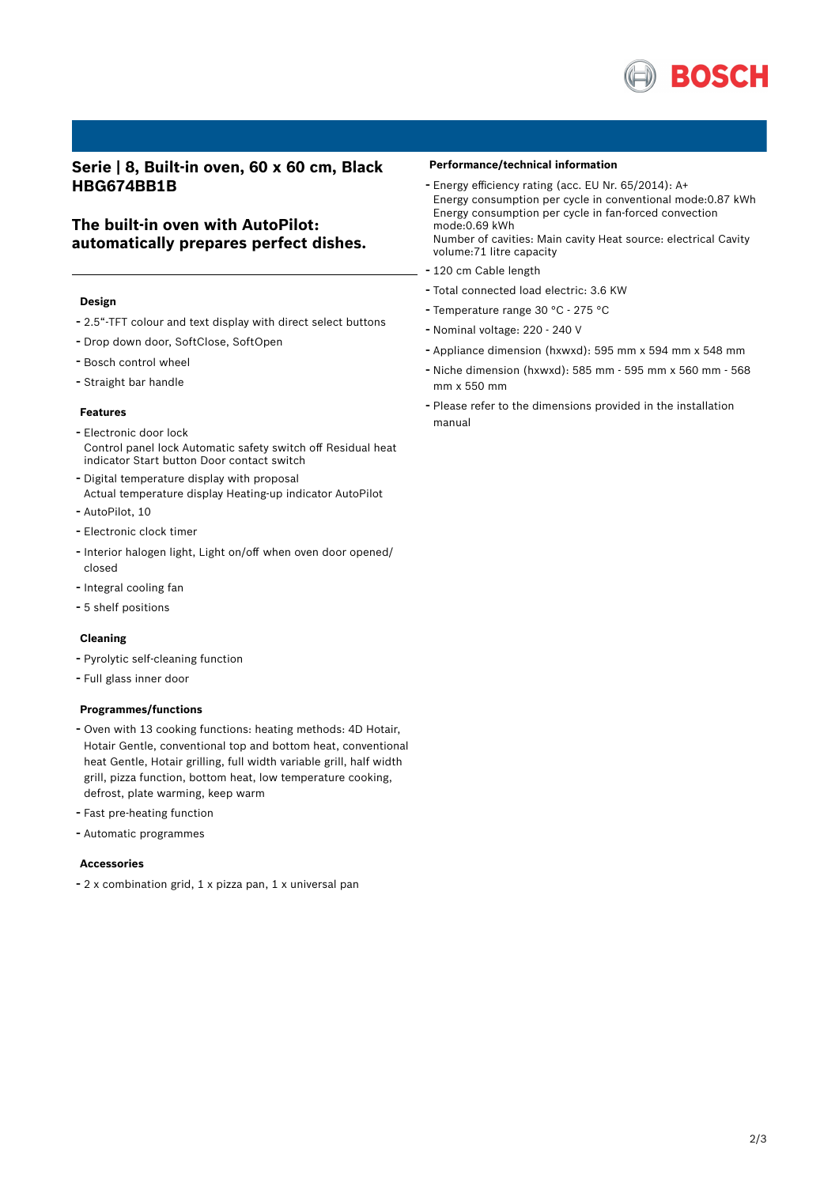

## **Serie | 8, Built-in oven, 60 x 60 cm, Black HBG674BB1B**

## **The built-in oven with AutoPilot: automatically prepares perfect dishes.**

#### **Design**

- 2.5"-TFT colour and text display with direct select buttons
- Drop down door, SoftClose, SoftOpen
- Bosch control wheel
- Straight bar handle

#### **Features**

- Electronic door lock Control panel lock Automatic safety switch off Residual heat indicator Start button Door contact switch
- Digital temperature display with proposal
- Actual temperature display Heating-up indicator AutoPilot
- AutoPilot, <sup>10</sup>
- Electronic clock timer
- Interior halogen light, Light on/off when oven door opened/ closed
- Integral cooling fan
- 5 shelf positions

### **Cleaning**

- Pyrolytic self-cleaning function
- Full glass inner door

#### **Programmes/functions**

- Oven with <sup>13</sup> cooking functions: heating methods: 4D Hotair, Hotair Gentle, conventional top and bottom heat, conventional heat Gentle, Hotair grilling, full width variable grill, half width grill, pizza function, bottom heat, low temperature cooking, defrost, plate warming, keep warm
- Fast pre-heating function
- Automatic programmes

#### **Accessories**

- <sup>2</sup> <sup>x</sup> combination grid, <sup>1</sup> <sup>x</sup> pizza pan, <sup>1</sup> <sup>x</sup> universal pan

#### **Performance/technical information**

- Energy efficiency rating (acc. EU Nr. 65/2014): A+ Energy consumption per cycle in conventional mode:0.87 kWh Energy consumption per cycle in fan-forced convection mode:0.69 kWh Number of cavities: Main cavity Heat source: electrical Cavity
- volume:71 litre capacity - <sup>120</sup> cm Cable length
- Total connected load electric: 3.6 KW
- Temperature range <sup>30</sup> °C <sup>275</sup> °C
- Nominal voltage: <sup>220</sup> <sup>240</sup> <sup>V</sup>
- Appliance dimension (hxwxd): 595 mm x 594 mm x 548 mm
- Niche dimension (hxwxd): <sup>585</sup> mm <sup>595</sup> mm <sup>x</sup> <sup>560</sup> mm <sup>568</sup> mm x 550 mm
- Please refer to the dimensions provided in the installation manual